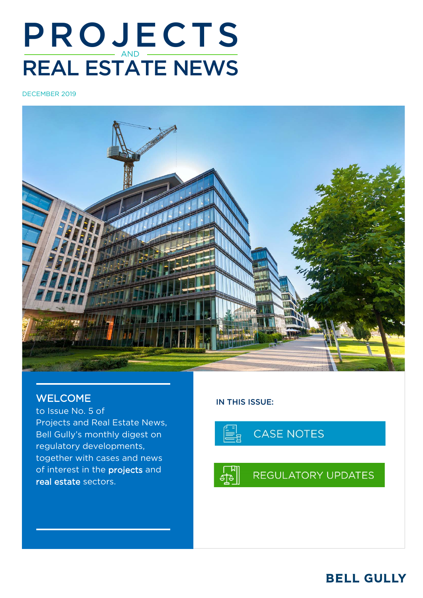# **PROJECTS** REAL ESTATE NEWS

DECEMBER 2019



# WELCOME

to Issue No. 5 of Projects and Real Estate News, Bell Gully's monthly digest on regulatory developments, together with cases and news of interest in the projects and real estate sectors.

# IN THIS ISSUE:



# **BELL GULLY**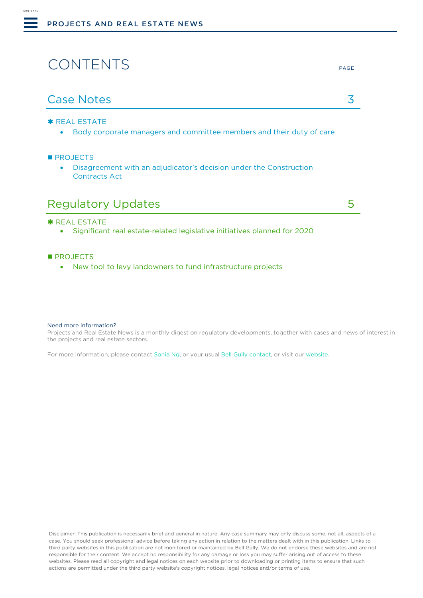# **CONTENTS**

<span id="page-1-0"></span>CONTENTS

### \* [REAL ESTATE](#page-2-1)

• [Body corporate managers and committee members and their duty of care](#page-2-2)

#### **[PROJECTS](#page-3-0)**

• Disagreement [with an adjudicator's decision under the Construction](#page-3-1)  [Contracts Act](#page-3-1)

| <b>Regulatory Updates</b> |  |
|---------------------------|--|
|---------------------------|--|

#### **\* [REAL ESTATE](#page-4-1)**

• Significant real estate-related [legislative initiatives planned for 2020](#page-4-2)

#### **[PROJECTS](#page-3-0)**

• [New tool to levy landowners to fund infrastructure projects](#page-5-0)

#### Need more information?

Projects and Real Estate News is a monthly digest on regulatory developments, together with cases and news of interest in the projects and real estate sectors.

For more information, please contact [Sonia Ng,](mailto:Sonia.ng@bellgully.com) or your usua[l Bell Gully contact,](mailto:https://www.bellgully.com/our-people) or visit our [website.](http://www.bellgully.com/)

Disclaimer: This publication is necessarily brief and general in nature. Any case summary may only discuss some, not all, aspects of a case. You should seek professional advice before taking any action in relation to the matters dealt with in this publication. Links to third party websites in this publication are not monitored or maintained by Bell Gully. We do not endorse these websites and are not responsible for their content. We accept no responsibility for any damage or loss you may suffer arising out of access to these websites. Please read all copyright and legal notices on each website prior to downloading or printing items to ensure that such actions are permitted under the third party website's copyright notices, legal notices and/or terms of use.

#### PAGE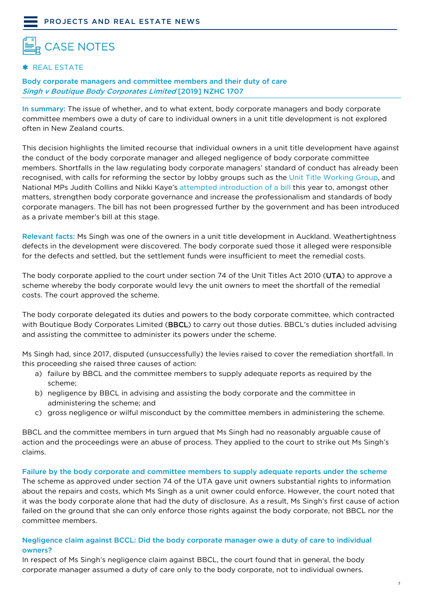# <span id="page-2-1"></span><span id="page-2-0"></span>**CASE NOTES**

### \* REAL ESTATE

### <span id="page-2-2"></span>Body corporate managers and committee members and their duty of care Singh v Boutique Body Corporates Limited [2019] NZHC 1707

In summary: The issue of whether, and to what extent, body corporate managers and body corporate committee members owe a duty of care to individual owners in a unit title development is not explored often in New Zealand courts.

This decision highlights the limited recourse that individual owners in a unit title development have against the conduct of the body corporate manager and alleged negligence of body corporate committee members. Shortfalls in the law regulating body corporate managers' standard of conduct has already been recognised, with calls for reforming the sector by lobby groups such as the [Unit Title Working Group,](https://www.adls.org.nz/for-the-profession/news-and-opinion/2019/10/25/pressure-builds-on-govt-to-fix-the-unit-titles-act/) and National MPs Judith Collins and Nikki Kaye's [attempted introduction of a bill](https://www.parliament.nz/en/pb/bills-and-laws/proposed-members-bills/document/52HOH_MEMBILL127_1/unit-titles-strengthening-body-corporate-governance-and) this year to, amongst other matters, strengthen body corporate governance and increase the professionalism and standards of body corporate managers. The bill has not been progressed further by the government and has been introduced as a private member's bill at this stage.

Relevant facts: Ms Singh was one of the owners in a unit title development in Auckland. Weathertightness defects in the development were discovered. The body corporate sued those it alleged were responsible for the defects and settled, but the settlement funds were insufficient to meet the remedial costs.

The body corporate applied to the court under section 74 of the Unit Titles Act 2010 (UTA) to approve a scheme whereby the body corporate would levy the unit owners to meet the shortfall of the remedial costs. The court approved the scheme.

The body corporate delegated its duties and powers to the body corporate committee, which contracted with Boutique Body Corporates Limited (BBCL) to carry out those duties. BBCL's duties included advising and assisting the committee to administer its powers under the scheme.

Ms Singh had, since 2017, disputed (unsuccessfully) the levies raised to cover the remediation shortfall. In this proceeding she raised three causes of action:

- a) failure by BBCL and the committee members to supply adequate reports as required by the scheme;
- b) negligence by BBCL in advising and assisting the body corporate and the committee in administering the scheme; and
- c) gross negligence or wilful misconduct by the committee members in administering the scheme.

BBCL and the committee members in turn argued that Ms Singh had no reasonably arguable cause of action and the proceedings were an abuse of process. They applied to the court to strike out Ms Singh's claims.

#### Failure by the body corporate and committee members to supply adequate reports under the scheme

The scheme as approved under section 74 of the UTA gave unit owners substantial rights to information about the repairs and costs, which Ms Singh as a unit owner could enforce. However, the court noted that it was the body corporate alone that had the duty of disclosure. As a result, Ms Singh's first cause of action failed on the ground that she can only enforce those rights against the body corporate, not BBCL nor the committee members.

## Negligence claim against BCCL: Did the body corporate manager owe a duty of care to individual owners?

In respect of Ms Singh's negligence claim against BBCL, the court found that in general, the body corporate manager assumed a duty of care only to the body corporate, not to individual owners.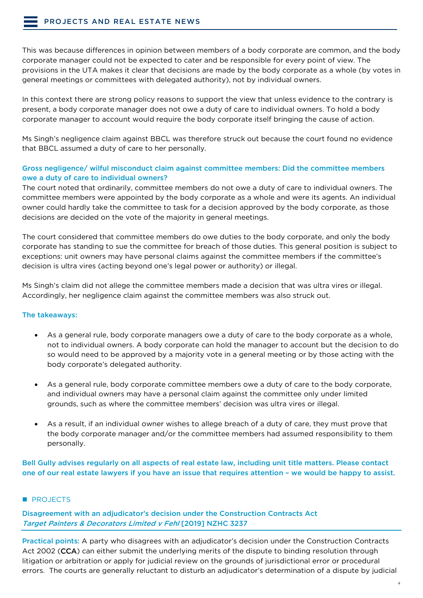This was because differences in opinion between members of a body corporate are common, and the body corporate manager could not be expected to cater and be responsible for every point of view. The provisions in the UTA makes it clear that decisions are made by the body corporate as a whole (by votes in general meetings or committees with delegated authority), not by individual owners.

In this context there are strong policy reasons to support the view that unless evidence to the contrary is present, a body corporate manager does not owe a duty of care to individual owners. To hold a body corporate manager to account would require the body corporate itself bringing the cause of action.

Ms Singh's negligence claim against BBCL was therefore struck out because the court found no evidence that BBCL assumed a duty of care to her personally.

### Gross negligence/ wilful misconduct claim against committee members: Did the committee members owe a duty of care to individual owners?

The court noted that ordinarily, committee members do not owe a duty of care to individual owners. The committee members were appointed by the body corporate as a whole and were its agents. An individual owner could hardly take the committee to task for a decision approved by the body corporate, as those decisions are decided on the vote of the majority in general meetings.

The court considered that committee members do owe duties to the body corporate, and only the body corporate has standing to sue the committee for breach of those duties. This general position is subject to exceptions: unit owners may have personal claims against the committee members if the committee's decision is ultra vires (acting beyond one's legal power or authority) or illegal.

Ms Singh's claim did not allege the committee members made a decision that was ultra vires or illegal. Accordingly, her negligence claim against the committee members was also struck out.

#### The takeaways:

- As a general rule, body corporate managers owe a duty of care to the body corporate as a whole, not to individual owners. A body corporate can hold the manager to account but the decision to do so would need to be approved by a majority vote in a general meeting or by those acting with the body corporate's delegated authority.
- As a general rule, body corporate committee members owe a duty of care to the body corporate, and individual owners may have a personal claim against the committee only under limited grounds, such as where the committee members' decision was ultra vires or illegal.
- As a result, if an individual owner wishes to allege breach of a duty of care, they must prove that the body corporate manager and/or the committee members had assumed responsibility to them personally.

Bell Gully advises regularly on all aspects of real estate law, including unit title matters. Please contact one of our real estate lawyers if you have an issue that requires attention – we would be happy to assist.

<span id="page-3-0"></span>**PROJECTS** 

<span id="page-3-1"></span>Disagreement with an adjudicator's decision under the Construction Contracts Act Target Painters & Decorators Limited v Fehl [2019] NZHC 3237

Practical points: A party who disagrees with an adjudicator's decision under the Construction Contracts Act 2002 (CCA) can either submit the underlying merits of the dispute to binding resolution through litigation or arbitration or apply for judicial review on the grounds of jurisdictional error or procedural errors. The courts are generally reluctant to disturb an adjudicator's determination of a dispute by judicial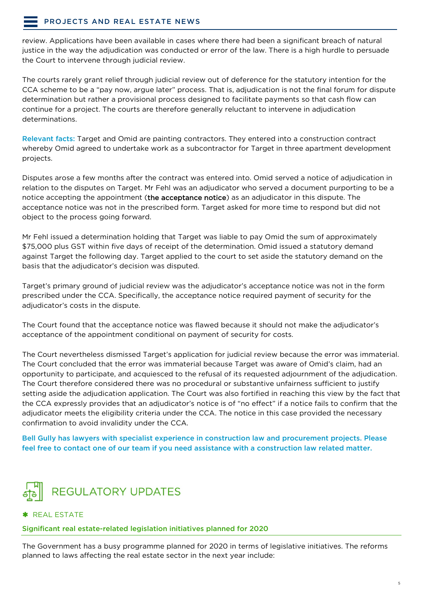# [PROJECTS AND REAL ESTATE NEWS](#page-1-0)

review. Applications have been available in cases where there had been a significant breach of natural justice in the way the adjudication was conducted or error of the law. There is a high hurdle to persuade the Court to intervene through judicial review.

The courts rarely grant relief through judicial review out of deference for the statutory intention for the CCA scheme to be a "pay now, argue later" process. That is, adjudication is not the final forum for dispute determination but rather a provisional process designed to facilitate payments so that cash flow can continue for a project. The courts are therefore generally reluctant to intervene in adjudication determinations.

Relevant facts: Target and Omid are painting contractors. They entered into a construction contract whereby Omid agreed to undertake work as a subcontractor for Target in three apartment development projects.

Disputes arose a few months after the contract was entered into. Omid served a notice of adjudication in relation to the disputes on Target. Mr Fehl was an adjudicator who served a document purporting to be a notice accepting the appointment (the acceptance notice) as an adjudicator in this dispute. The acceptance notice was not in the prescribed form. Target asked for more time to respond but did not object to the process going forward.

Mr Fehl issued a determination holding that Target was liable to pay Omid the sum of approximately \$75,000 plus GST within five days of receipt of the determination. Omid issued a statutory demand against Target the following day. Target applied to the court to set aside the statutory demand on the basis that the adjudicator's decision was disputed.

Target's primary ground of judicial review was the adjudicator's acceptance notice was not in the form prescribed under the CCA. Specifically, the acceptance notice required payment of security for the adjudicator's costs in the dispute.

The Court found that the acceptance notice was flawed because it should not make the adjudicator's acceptance of the appointment conditional on payment of security for costs.

The Court nevertheless dismissed Target's application for judicial review because the error was immaterial. The Court concluded that the error was immaterial because Target was aware of Omid's claim, had an opportunity to participate, and acquiesced to the refusal of its requested adjournment of the adjudication. The Court therefore considered there was no procedural or substantive unfairness sufficient to justify setting aside the adjudication application. The Court was also fortified in reaching this view by the fact that the CCA expressly provides that an adjudicator's notice is of "no effect" if a notice fails to confirm that the adjudicator meets the eligibility criteria under the CCA. The notice in this case provided the necessary confirmation to avoid invalidity under the CCA.

Bell Gully has lawyers with specialist experience in construction law and procurement projects. Please feel free to contact one of our team if you need assistance with a construction law related matter.

<span id="page-4-0"></span>

#### <span id="page-4-1"></span>\* REAL ESTATE

<span id="page-4-2"></span>Significant real estate-related legislation initiatives planned for 2020

The Government has a busy programme planned for 2020 in terms of legislative initiatives. The reforms planned to laws affecting the real estate sector in the next year include: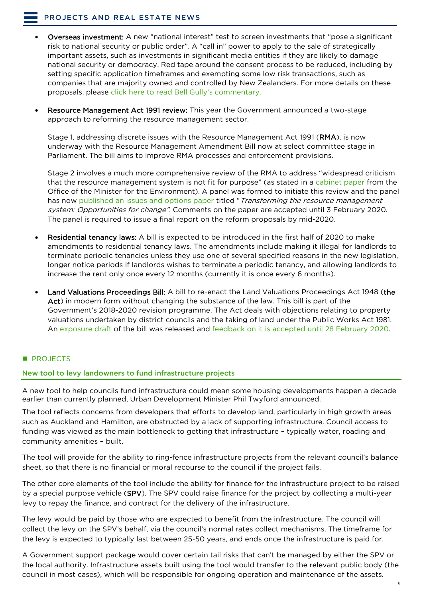- Overseas investment: A new "national interest" test to screen investments that "pose a significant risk to national security or public order". A "call in" power to apply to the sale of strategically important assets, such as investments in significant media entities if they are likely to damage national security or democracy. Red tape around the consent process to be reduced, including by setting specific application timeframes and exempting some low risk transactions, such as companies that are majority owned and controlled by New Zealanders. For more details on these proposals, please [click here to read Bell Gully's commentary.](https://www.bellgully.com/publications/government-to-introduce-a-national-interest-test-to-the-overseas-investment-regime)
- Resource Management Act 1991 review: This year the Government announced a two-stage approach to reforming the resource management sector.

Stage 1, addressing discrete issues with the Resource Management Act 1991 (RMA), is now underway with the Resource Management Amendment Bill now at select committee stage in Parliament. The bill aims to improve RMA processes and enforcement provisions.

Stage 2 involves a much more comprehensive review of the RMA to address "widespread criticism that the resource management system is not fit for purpose" (as stated in a [cabinet paper](https://www.mfe.govt.nz/sites/default/files/media/RMA/cabinet-paper-comprehensive-review-rm-system-scope-process.pdf) from the Office of the Minister for the Environment). A panel was formed to initiate this review and the panel has now [published an issues and options paper](https://www.mfe.govt.nz/sites/default/files/media/RMA/comprehensive-review-of-the-resource-management-system-opportunities-for-change-issues-and-options-paper.pdf) titled "*Transforming the resource management* system: Opportunities for change". Comments on the paper are accepted until 3 February 2020. The panel is required to issue a final report on the reform proposals by mid-2020.

- Residential tenancy laws: A bill is expected to be introduced in the first half of 2020 to make amendments to residential tenancy laws. The amendments include making it illegal for landlords to terminate periodic tenancies unless they use one of several specified reasons in the new legislation, longer notice periods if landlords wishes to terminate a periodic tenancy, and allowing landlords to increase the rent only once every 12 months (currently it is once every 6 months).
- Land Valuations Proceedings Bill: A bill to re-enact the Land Valuations Proceedings Act 1948 (the Act) in modern form without changing the substance of the law. This bill is part of the Government's 2018-2020 revision programme. The Act deals with objections relating to property valuations undertaken by district councils and the taking of land under the Public Works Act 1981. An [exposure draft](http://www.pco.govt.nz/assets/Uploads/legislative-documents/lvpb/exposure-draft-lvpb.pdf) of the bill was released and feedback on it is accepted until 28 February 2020.

# **PROJECTS**

#### <span id="page-5-0"></span>New tool to levy landowners to fund infrastructure projects

A new tool to help councils fund infrastructure could mean some housing developments happen a decade earlier than currently planned, Urban Development Minister Phil Twyford announced.

The tool reflects concerns from developers that efforts to develop land, particularly in high growth areas such as Auckland and Hamilton, are obstructed by a lack of supporting infrastructure. Council access to funding was viewed as the main bottleneck to getting that infrastructure – typically water, roading and community amenities – built.

The tool will provide for the ability to ring-fence infrastructure projects from the relevant council's balance sheet, so that there is no financial or moral recourse to the council if the project fails.

The other core elements of the tool include the ability for finance for the infrastructure project to be raised by a special purpose vehicle (SPV). The SPV could raise finance for the project by collecting a multi-year levy to repay the finance, and contract for the delivery of the infrastructure.

The levy would be paid by those who are expected to benefit from the infrastructure. The council will collect the levy on the SPV's behalf, via the council's normal rates collect mechanisms. The timeframe for the levy is expected to typically last between 25-50 years, and ends once the infrastructure is paid for.

A Government support package would cover certain tail risks that can't be managed by either the SPV or the local authority. Infrastructure assets built using the tool would transfer to the relevant public body (the council in most cases), which will be responsible for ongoing operation and maintenance of the assets.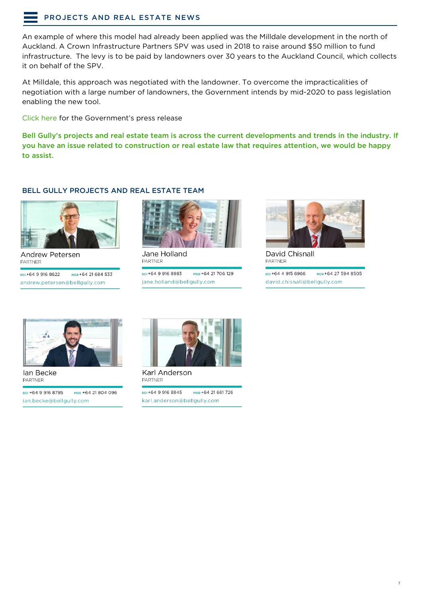# [PROJECTS AND REAL ESTATE NEWS](#page-1-0)

An example of where this model had already been applied was the Milldale development in the north of Auckland. A Crown Infrastructure Partners SPV was used in 2018 to raise around \$50 million to fund infrastructure. The levy is to be paid by landowners over 30 years to the Auckland Council, which collects it on behalf of the SPV.

At Milldale, this approach was negotiated with the landowner. To overcome the impracticalities of negotiation with a large number of landowners, the Government intends by mid-2020 to pass legislation enabling the new tool.

[Click here](https://www.beehive.govt.nz/release/new-infrastructure-funding-tool-build-housing-developments-faster) for the Government's press release

Bell Gully's projects and real estate team is across the current developments and trends in the industry. If you have an issue related to construction or real estate law that requires attention, we would be happy to assist.

#### BELL GULLY PROJECTS AND REAL ESTATE TEAM



Andrew Petersen **PARTNER** 

ppi +64 9 916 8622 мов+64 21 684 533 andrew.petersen@bellgully.com



Jane Holland PARTNER

ppi +64 9 916 8983 мов+64 21 706 129 jane.holland@bellgully.com



David Chisnall PARTNER

ppi +64 4 915 6966 мов+64 27 594 8505 david.chisnall@bellgully.com



lan Becke **PARTNER** 

DDI +64 9 916 8795 мов +64 21 804 096 ian.becke@bellgully.com



Karl Anderson PARTNER

DDI +64 9 916 8845 мов+64 21 661 726 karl.anderson@bellgully.com